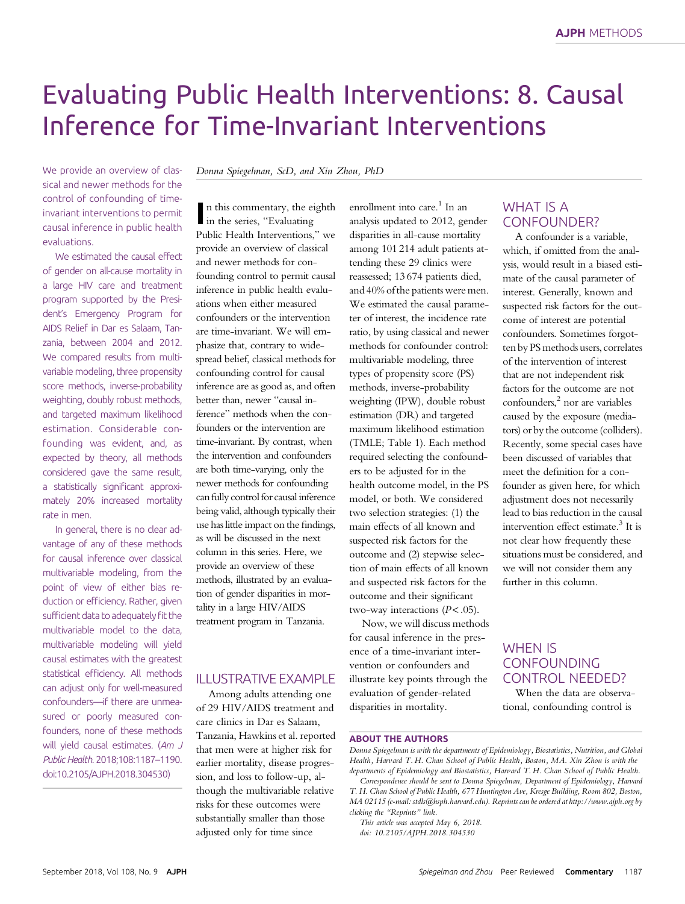# Evaluating Public Health Interventions: 8. Causal Inference for Time-Invariant Interventions and Interventions and Interventions and

We provide an overview of classical and newer methods for the control of confounding of timeinvariant interventions to permit causal inference in public health evaluations.

We estimated the causal effect of gender on all-cause mortality in a large HIV care and treatment program supported by the President's Emergency Program for AIDS Relief in Dar es Salaam, Tanzania, between 2004 and 2012. We compared results from multivariable modeling, three propensity score methods, inverse-probability weighting, doubly robust methods, and targeted maximum likelihood estimation. Considerable confounding was evident, and, as expected by theory, all methods considered gave the same result, a statistically significant approximately 20% increased mortality rate in men.

In general, there is no clear advantage of any of these methods for causal inference over classical multivariable modeling, from the point of view of either bias reduction or efficiency. Rather, given sufficient data to adequately fit the multivariable model to the data, multivariable modeling will yield causal estimates with the greatest statistical efficiency. All methods can adjust only for well-measured confounders—if there are unmeasured or poorly measured confounders, none of these methods will yield causal estimates. (Am J Public Health. 2018;108:1187–1190. doi:10.2105/AJPH.2018.304530)

Donna Spiegelman, ScD, and Xin Zhou, PhD

n this commentary, the e<br>in the series, "Evaluating n this commentary, the eighth Public Health Interventions," we provide an overview of classical and newer methods for confounding control to permit causal inference in public health evaluations when either measured confounders or the intervention are time-invariant. We will emphasize that, contrary to widespread belief, classical methods for confounding control for causal inference are as good as, and often better than, newer "causal inference" methods when the confounders or the intervention are time-invariant. By contrast, when the intervention and confounders are both time-varying, only the newer methods for confounding can fully control for causal inference being valid, although typically their use has little impact on the findings, as will be discussed in the next column in this series. Here, we provide an overview of these methods, illustrated by an evaluation of gender disparities in mortality in a large HIV/AIDS treatment program in Tanzania.

## ILLUSTRATIVE EXAMPLE

Among adults attending one of 29 HIV/AIDS treatment and care clinics in Dar es Salaam, Tanzania, Hawkins et al. reported that men were at higher risk for earlier mortality, disease progression, and loss to follow-up, although the multivariable relative risks for these outcomes were substantially smaller than those adjusted only for time since

enrollment into care. $1$  In an analysis updated to 2012, gender disparities in all-cause mortality among 101 214 adult patients attending these 29 clinics were reassessed; 13 674 patients died, and 40% of the patients were men. We estimated the causal parameter of interest, the incidence rate ratio, by using classical and newer methods for confounder control: multivariable modeling, three types of propensity score (PS) methods, inverse-probability weighting (IPW), double robust estimation (DR) and targeted maximum likelihood estimation (TMLE; Table 1). Each method required selecting the confounders to be adjusted for in the health outcome model, in the PS model, or both. We considered two selection strategies: (1) the main effects of all known and suspected risk factors for the outcome and (2) stepwise selection of main effects of all known and suspected risk factors for the outcome and their significant two-way interactions  $(P < .05)$ .

Now, we will discuss methods for causal inference in the presence of a time-invariant intervention or confounders and illustrate key points through the evaluation of gender-related disparities in mortality.

#### WHAT IS A CONFOUNDER?

A confounder is a variable, which, if omitted from the analysis, would result in a biased estimate of the causal parameter of interest. Generally, known and suspected risk factors for the outcome of interest are potential confounders. Sometimes forgotten by PS methods users, correlates of the intervention of interest that are not independent risk factors for the outcome are not confounders,<sup>2</sup> nor are variables caused by the exposure (mediators) or by the outcome (colliders). Recently, some special cases have been discussed of variables that meet the definition for a confounder as given here, for which adjustment does not necessarily lead to bias reduction in the causal intervention effect estimate. $3$  It is not clear how frequently these situations must be considered, and we will not consider them any further in this column.

## WHEN IS CONFOUNDING CONTROL NEEDED?

When the data are observational, confounding control is

#### ABOUT THE AUTHORS

Donna Spiegelman is with the departments of Epidemiology, Biostatistics, Nutrition, and Global Health, Harvard T. H. Chan School of Public Health, Boston, MA. Xin Zhou is with the departments of Epidemiology and Biostatistics, Harvard T. H. Chan School of Public Health.

Correspondence should be sent to Donna Spiegelman, Department of Epidemiology, Harvard T. H. Chan School of Public Health, 677 Huntington Ave, Kresge Building, Room 802, Boston, MA 02115 (e-mail: [stdls@hsph.harvard.edu](mailto:stdls@hsph.harvard.edu)). Reprints can be ordered at<http://www.ajph.org> by clicking the "Reprints" link.

This article was accepted May 6, 2018. doi: 10.2105/AJPH.2018.304530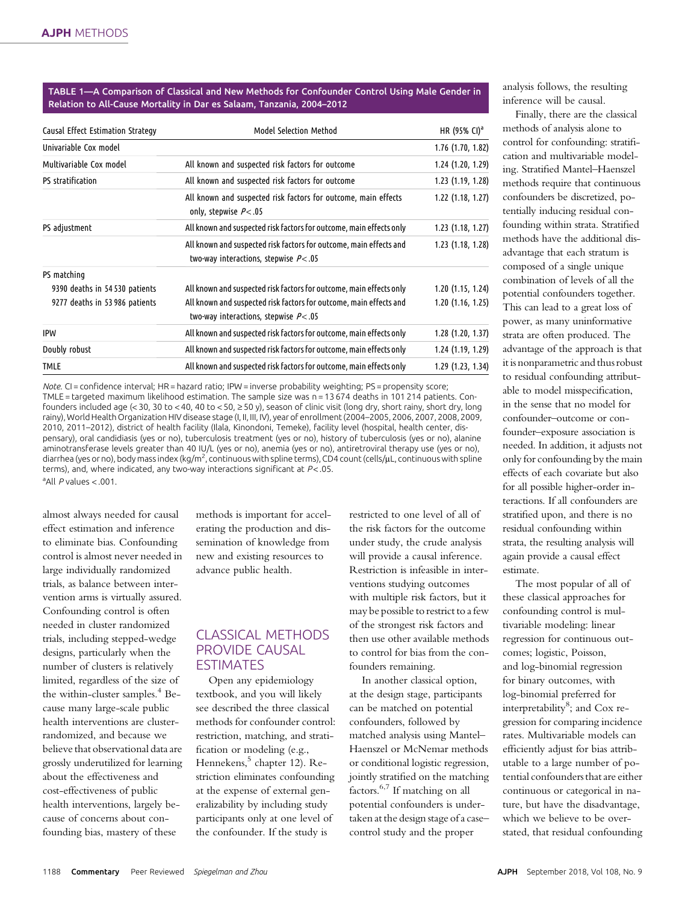TABLE 1—A Comparison of Classical and New Methods for Confounder Control Using Male Gender in Relation to All-Cause Mortality in Dar es Salaam, Tanzania, 2004–2012

| Causal Effect Estimation Strategy | Model Selection Method                                                                                         | HR (95% CI) <sup>a</sup> |
|-----------------------------------|----------------------------------------------------------------------------------------------------------------|--------------------------|
| Univariable Cox model             |                                                                                                                | 1.76 (1.70, 1.82)        |
| Multivariable Cox model           | All known and suspected risk factors for outcome                                                               | 1.24 (1.20, 1.29)        |
| <b>PS</b> stratification          | All known and suspected risk factors for outcome                                                               | 1.23 (1.19, 1.28)        |
|                                   | All known and suspected risk factors for outcome, main effects<br>only, stepwise $P<.05$                       | $1.22$ (1.18, 1.27)      |
| PS adjustment                     | All known and suspected risk factors for outcome, main effects only                                            | 1.23(1.18, 1.27)         |
|                                   | All known and suspected risk factors for outcome, main effects and<br>two-way interactions, stepwise $P<.05$   | 1.23 (1.18, 1.28)        |
| PS matching                       |                                                                                                                |                          |
| 9390 deaths in 54530 patients     | All known and suspected risk factors for outcome, main effects only                                            | 1.20(1.15, 1.24)         |
| 9277 deaths in 53 986 patients    | All known and suspected risk factors for outcome, main effects and<br>two-way interactions, stepwise $P < .05$ | 1.20(1.16, 1.25)         |
| IPW                               | All known and suspected risk factors for outcome, main effects only                                            | $1.28$ (1.20, 1.37)      |
| Doubly robust                     | All known and suspected risk factors for outcome, main effects only                                            | 1.24 (1.19, 1.29)        |
| <b>TMLE</b>                       | All known and suspected risk factors for outcome, main effects only                                            | 1.29 (1.23, 1.34)        |

Note. CI = confidence interval; HR = hazard ratio; IPW = inverse probability weighting; PS = propensity score; TMLE = targeted maximum likelihood estimation. The sample size was n = 13 674 deaths in 101 214 patients. Confounders included age (< 30, 30 to < 40, 40 to < 50,  $\geq$  50 y), season of clinic visit (long dry, short rainy, short dry, long rainy), World Health Organization HIV disease stage (I, II, III, IV), year of enrollment (2004–2005, 2006, 2007, 2008, 2009, 2010, 2011–2012), district of health facility (Ilala, Kinondoni, Temeke), facility level (hospital, health center, dispensary), oral candidiasis (yes or no), tuberculosis treatment (yes or no), history of tuberculosis (yes or no), alanine aminotransferase levels greater than 40 IU/L (yes or no), anemia (yes or no), antiretroviral therapy use (yes or no), diarrhea (yes or no), body mass index (kg/m<sup>2</sup>, continuous with spline terms), CD4 count (cells/µL, continuous with spline terms), and, where indicated, any two-way interactions significant at  $P < 05$ . <sup>a</sup> All P values < .001.

almost always needed for causal effect estimation and inference to eliminate bias. Confounding control is almost never needed in large individually randomized trials, as balance between intervention arms is virtually assured. Confounding control is often needed in cluster randomized trials, including stepped-wedge designs, particularly when the number of clusters is relatively limited, regardless of the size of the within-cluster samples. $4$  Because many large-scale public health interventions are clusterrandomized, and because we believe that observational data are grossly underutilized for learning about the effectiveness and cost-effectiveness of public health interventions, largely because of concerns about confounding bias, mastery of these

methods is important for accelerating the production and dissemination of knowledge from new and existing resources to advance public health.

## CLASSICAL METHODS PROVIDE CAUSAL ESTIMATES

Open any epidemiology textbook, and you will likely see described the three classical methods for confounder control: restriction, matching, and stratification or modeling (e.g., Hennekens,<sup>5</sup> chapter 12). Restriction eliminates confounding at the expense of external generalizability by including study participants only at one level of the confounder. If the study is

restricted to one level of all of the risk factors for the outcome under study, the crude analysis will provide a causal inference. Restriction is infeasible in interventions studying outcomes with multiple risk factors, but it may be possible to restrict to a few of the strongest risk factors and then use other available methods to control for bias from the confounders remaining.

In another classical option, at the design stage, participants can be matched on potential confounders, followed by matched analysis using Mantel– Haenszel or McNemar methods or conditional logistic regression, jointly stratified on the matching factors. $6,7$  If matching on all potential confounders is undertaken at the design stage of a case– control study and the proper

analysis follows, the resulting inference will be causal.

Finally, there are the classical methods of analysis alone to control for confounding: stratification and multivariable modeling. Stratified Mantel–Haenszel methods require that continuous confounders be discretized, potentially inducing residual confounding within strata. Stratified methods have the additional disadvantage that each stratum is composed of a single unique combination of levels of all the potential confounders together. This can lead to a great loss of power, as many uninformative strata are often produced. The advantage of the approach is that it is nonparametric and thus robust to residual confounding attributable to model misspecification, in the sense that no model for confounder–outcome or confounder–exposure association is needed. In addition, it adjusts not only for confounding by the main effects of each covariate but also for all possible higher-order interactions. If all confounders are stratified upon, and there is no residual confounding within strata, the resulting analysis will again provide a causal effect estimate.

The most popular of all of these classical approaches for confounding control is multivariable modeling: linear regression for continuous outcomes; logistic, Poisson, and log-binomial regression for binary outcomes, with log-binomial preferred for interpretability $^8$ ; and Cox regression for comparing incidence rates. Multivariable models can efficiently adjust for bias attributable to a large number of potential confounders that are either continuous or categorical in nature, but have the disadvantage, which we believe to be overstated, that residual confounding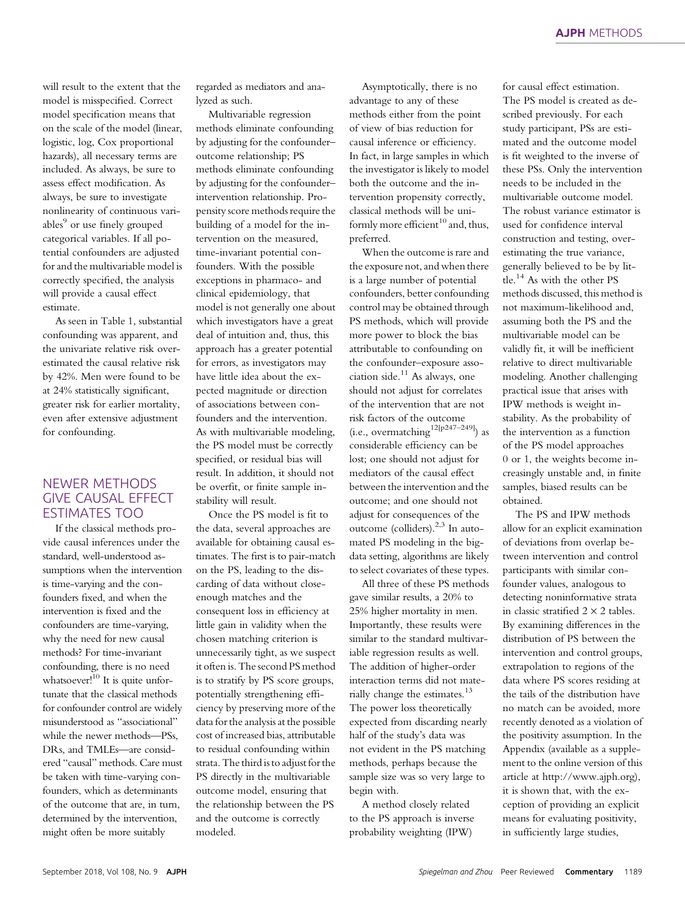will result to the extent that the model is misspecified. Correct model specification means that on the scale of the model (linear, logistic, log, Cox proportional hazards), all necessary terms are included. As always, be sure to assess effect modification. As always, be sure to investigate nonlinearity of continuous variables<sup>9</sup> or use finely grouped categorical variables. If all potential confounders are adjusted for and the multivariable model is correctly specified, the analysis will provide a causal effect estimate.

As seen in Table 1, substantial confounding was apparent, and the univariate relative risk overestimated the causal relative risk by 42%. Men were found to be at 24% statistically significant, greater risk for earlier mortality, even after extensive adjustment for confounding.

## NEWER METHODS GIVE CAUSAL EFFECT ESTIMATES TOO

If the classical methods provide causal inferences under the standard, well-understood assumptions when the intervention is time-varying and the confounders fixed, and when the intervention is fixed and the confounders are time-varying, why the need for new causal methods? For time-invariant confounding, there is no need whatsoever! $^{10}$  It is quite unfortunate that the classical methods for confounder control are widely misunderstood as "associational" while the newer methods—PSs, DRs, and TMLEs—are considered "causal" methods. Care must be taken with time-varying confounders, which as determinants of the outcome that are, in turn, determined by the intervention, might often be more suitably

regarded as mediators and analyzed as such.

Multivariable regression methods eliminate confounding by adjusting for the confounder– outcome relationship; PS methods eliminate confounding by adjusting for the confounder– intervention relationship. Propensity score methods require the building of a model for the intervention on the measured, time-invariant potential confounders. With the possible exceptions in pharmaco- and clinical epidemiology, that model is not generally one about which investigators have a great deal of intuition and, thus, this approach has a greater potential for errors, as investigators may have little idea about the expected magnitude or direction of associations between confounders and the intervention. As with multivariable modeling, the PS model must be correctly specified, or residual bias will result. In addition, it should not be overfit, or finite sample instability will result.

Once the PS model is fit to the data, several approaches are available for obtaining causal estimates. The first is to pair-match on the PS, leading to the discarding of data without closeenough matches and the consequent loss in efficiency at little gain in validity when the chosen matching criterion is unnecessarily tight, as we suspect it often is. The second PS method is to stratify by PS score groups, potentially strengthening efficiency by preserving more of the data for the analysis at the possible cost of increased bias, attributable to residual confounding within strata. The third is to adjust for the PS directly in the multivariable outcome model, ensuring that the relationship between the PS and the outcome is correctly modeled.

Asymptotically, there is no advantage to any of these methods either from the point of view of bias reduction for causal inference or efficiency. In fact, in large samples in which the investigator is likely to model both the outcome and the intervention propensity correctly, classical methods will be uniformly more efficient<sup>10</sup> and, thus, preferred.

When the outcome is rare and the exposure not, and when there is a large number of potential confounders, better confounding control may be obtained through PS methods, which will provide more power to block the bias attributable to confounding on the confounder–exposure association side. $11$  As always, one should not adjust for correlates of the intervention that are not risk factors of the outcome (i.e., overmatching  $^{12[p247-249]}$ ) as considerable efficiency can be lost; one should not adjust for mediators of the causal effect between the intervention and the outcome; and one should not adjust for consequences of the outcome (colliders). $2,3$  In automated PS modeling in the bigdata setting, algorithms are likely to select covariates of these types.

All three of these PS methods gave similar results, a 20% to 25% higher mortality in men. Importantly, these results were similar to the standard multivariable regression results as well. The addition of higher-order interaction terms did not materially change the estimates.<sup>13</sup> The power loss theoretically expected from discarding nearly half of the study's data was not evident in the PS matching methods, perhaps because the sample size was so very large to begin with.

A method closely related to the PS approach is inverse probability weighting (IPW)

for causal effect estimation. The PS model is created as described previously. For each study participant, PSs are estimated and the outcome model is fit weighted to the inverse of these PSs. Only the intervention needs to be included in the multivariable outcome model. The robust variance estimator is used for confidence interval construction and testing, overestimating the true variance, generally believed to be by little.<sup>14</sup> As with the other PS methods discussed, this method is not maximum-likelihood and, assuming both the PS and the multivariable model can be validly fit, it will be inefficient relative to direct multivariable modeling. Another challenging practical issue that arises with IPW methods is weight instability. As the probability of the intervention as a function of the PS model approaches 0 or 1, the weights become increasingly unstable and, in finite samples, biased results can be obtained.

The PS and IPW methods allow for an explicit examination of deviations from overlap between intervention and control participants with similar confounder values, analogous to detecting noninformative strata in classic stratified  $2 \times 2$  tables. By examining differences in the distribution of PS between the intervention and control groups, extrapolation to regions of the data where PS scores residing at the tails of the distribution have no match can be avoided, more recently denoted as a violation of the positivity assumption. In the Appendix (available as a supplement to the online version of this article at<http://www.ajph.org>), it is shown that, with the exception of providing an explicit means for evaluating positivity, in sufficiently large studies,